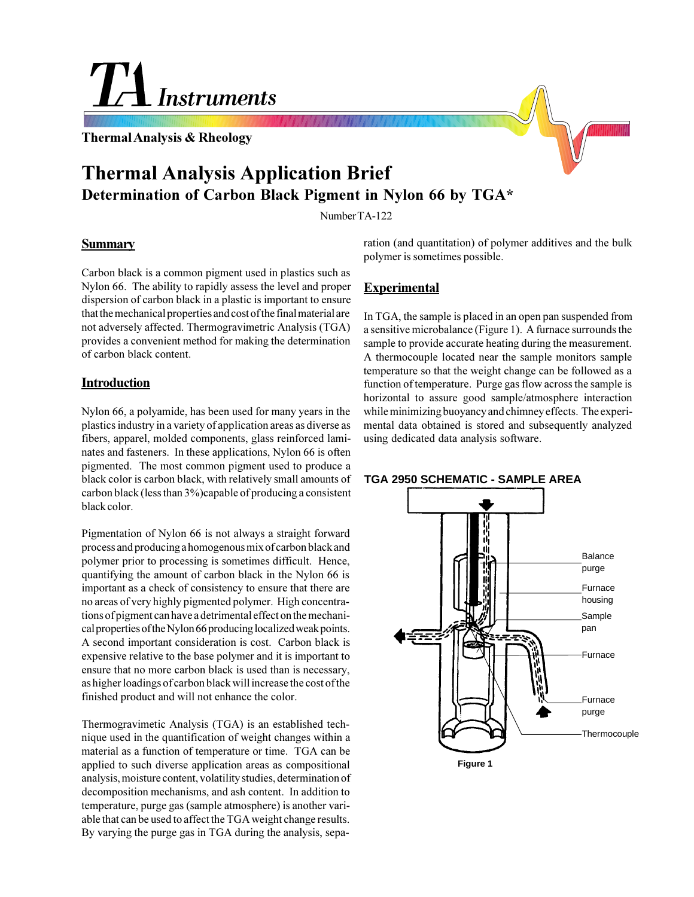<u>Instruments</u>

**Thermal Analysis & Rheology**

# **Thermal Analysis Application Brief Determination of Carbon Black Pigment in Nylon 66 by TGA\***

Number TA-122

#### **Summary**

Carbon black is a common pigment used in plastics such as Nylon 66. The ability to rapidly assess the level and proper dispersion of carbon black in a plastic is important to ensure that the mechanical properties and cost of the final material are not adversely affected. Thermogravimetric Analysis (TGA) provides a convenient method for making the determination of carbon black content.

# **Introduction**

Nylon 66, a polyamide, has been used for many years in the plastics industry in a variety of application areas as diverse as fibers, apparel, molded components, glass reinforced laminates and fasteners. In these applications, Nylon 66 is often pigmented. The most common pigment used to produce a black color is carbon black, with relatively small amounts of carbon black (less than 3%)capable of producing a consistent black color.

Pigmentation of Nylon 66 is not always a straight forward process and producing a homogenous mix of carbon black and polymer prior to processing is sometimes difficult. Hence, quantifying the amount of carbon black in the Nylon 66 is important as a check of consistency to ensure that there are no areas of very highly pigmented polymer. High concentrations of pigment can have a detrimental effect on the mechanical properties of the Nylon 66 producing localized weak points. A second important consideration is cost. Carbon black is expensive relative to the base polymer and it is important to ensure that no more carbon black is used than is necessary, as higher loadings of carbon black will increase the cost of the finished product and will not enhance the color.

Thermogravimetic Analysis (TGA) is an established technique used in the quantification of weight changes within a material as a function of temperature or time. TGA can be applied to such diverse application areas as compositional analysis, moisture content, volatility studies, determination of decomposition mechanisms, and ash content. In addition to temperature, purge gas (sample atmosphere) is another variable that can be used to affect the TGA weight change results. By varying the purge gas in TGA during the analysis, separation (and quantitation) of polymer additives and the bulk polymer is sometimes possible.

# **Experimental**

In TGA, the sample is placed in an open pan suspended from a sensitive microbalance (Figure 1). A furnace surrounds the sample to provide accurate heating during the measurement. A thermocouple located near the sample monitors sample temperature so that the weight change can be followed as a function of temperature. Purge gas flow across the sample is horizontal to assure good sample/atmosphere interaction while minimizing buoyancy and chimney effects. The experimental data obtained is stored and subsequently analyzed using dedicated data analysis software.

# **TGA 2950 SCHEMATIC - SAMPLE AREA**



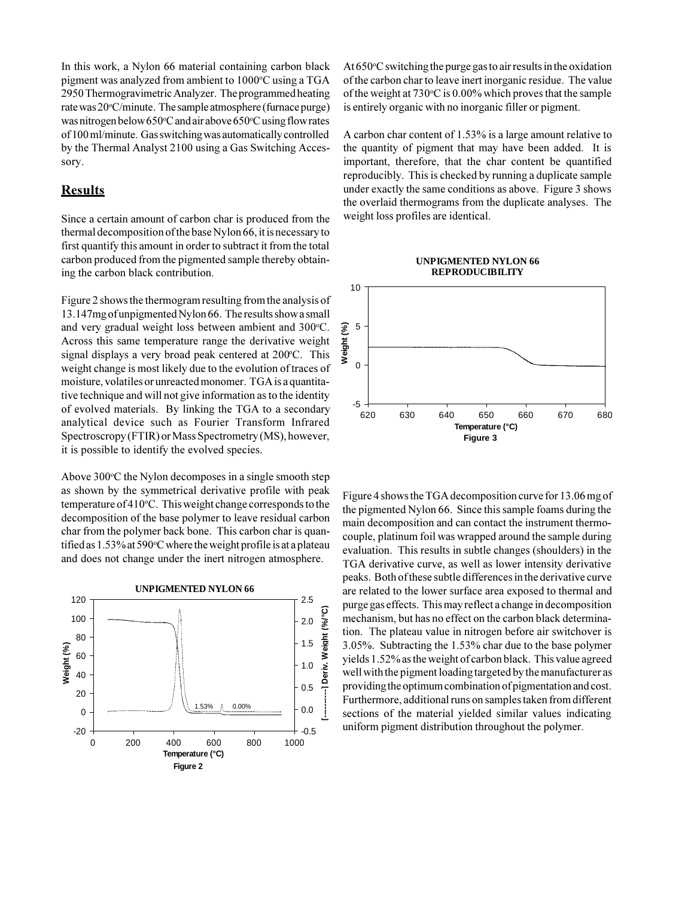In this work, a Nylon 66 material containing carbon black pigment was analyzed from ambient to 1000°C using a TGA 2950 Thermogravimetric Analyzer. The programmed heating rate was 20°C/minute. The sample atmosphere (furnace purge) was nitrogen below 650°C and air above 650°C using flow rates of 100 ml/minute. Gas switching was automatically controlled by the Thermal Analyst 2100 using a Gas Switching Accessory.

# **Results**

Since a certain amount of carbon char is produced from the thermal decomposition of the base Nylon 66, it is necessary to first quantify this amount in order to subtract it from the total carbon produced from the pigmented sample thereby obtaining the carbon black contribution.

Figure 2 shows the thermogram resulting from the analysis of 13.147mg of unpigmented Nylon 66. The results show a small and very gradual weight loss between ambient and 300°C. Across this same temperature range the derivative weight signal displays a very broad peak centered at 200°C. This weight change is most likely due to the evolution of traces of moisture, volatiles or unreacted monomer. TGA is a quantitative technique and will not give information as to the identity of evolved materials. By linking the TGA to a secondary analytical device such as Fourier Transform Infrared Spectroscropy (FTIR) or Mass Spectrometry (MS), however, it is possible to identify the evolved species.

Above 300°C the Nylon decomposes in a single smooth step as shown by the symmetrical derivative profile with peak temperature of 410°C. This weight change corresponds to the decomposition of the base polymer to leave residual carbon char from the polymer back bone. This carbon char is quantified as 1.53% at 590°C where the weight profile is at a plateau and does not change under the inert nitrogen atmosphere.



At 650°C switching the purge gas to air results in the oxidation of the carbon char to leave inert inorganic residue. The value of the weight at 730°C is 0.00% which proves that the sample is entirely organic with no inorganic filler or pigment.

A carbon char content of 1.53% is a large amount relative to the quantity of pigment that may have been added. It is important, therefore, that the char content be quantified reproducibly. This is checked by running a duplicate sample under exactly the same conditions as above. Figure 3 shows the overlaid thermograms from the duplicate analyses. The weight loss profiles are identical.

#### **UNPIGMENTED NYLON 66 REPRODUCIBILITY**



Figure 4 shows the TGA decomposition curve for 13.06 mg of the pigmented Nylon 66. Since this sample foams during the main decomposition and can contact the instrument thermocouple, platinum foil was wrapped around the sample during evaluation. This results in subtle changes (shoulders) in the TGA derivative curve, as well as lower intensity derivative peaks. Both of these subtle differences in the derivative curve are related to the lower surface area exposed to thermal and purge gas effects. This may reflect a change in decomposition mechanism, but has no effect on the carbon black determination. The plateau value in nitrogen before air switchover is 3.05%. Subtracting the 1.53% char due to the base polymer yields 1.52% as the weight of carbon black. This value agreed well with the pigment loading targeted by the manufacturer as providing the optimum combination of pigmentation and cost. Furthermore, additional runs on samples taken from different sections of the material yielded similar values indicating uniform pigment distribution throughout the polymer.